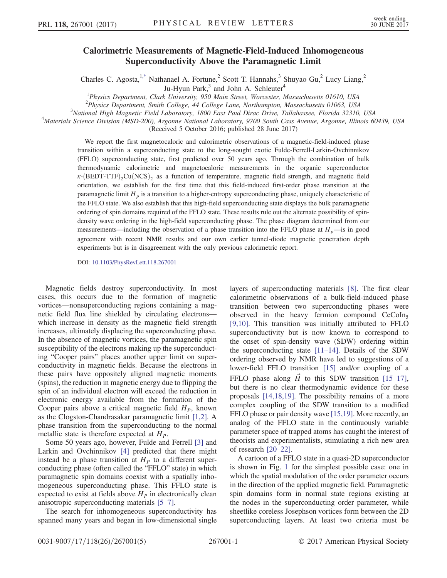## Calorimetric Measurements of Magnetic-Field-Induced Inhomogeneous Superconductivity Above the Paramagnetic Limit

<span id="page-0-0"></span>Charles C. Agosta,<sup>1[,\\*](#page-4-0)</sup> Nathanael A. Fortune,<sup>2</sup> Scott T. Hannahs,<sup>3</sup> Shuyao Gu,<sup>2</sup> Lucy Liang,<sup>2</sup>

Ju-Hyun Park,<sup>3</sup> and John A. Schleuter<sup>4</sup>

<sup>1</sup>Physics Department, Clark University, 950 Main Street, Worcester, Massachusetts 01610, USA

<sup>2</sup>Physics Department, Smith College, <sup>44</sup> College Lane, Northampton, Massachusetts 01063, USA<sup>3</sup>National High Magnatic Eight Labourtery, 1800 East David Dinas Drive, Tallahasses, Elovida 32310

 $3$ National High Magnetic Field Laboratory, 1800 East Paul Dirac Drive, Tallahassee, Florida 32310, USA

<sup>4</sup>Materials Science Division (MSD-200), Argonne National Laboratory, 9700 South Cass Avenue, Argonne, Illinois 60439, USA

(Received 5 October 2016; published 28 June 2017)

We report the first magnetocaloric and calorimetric observations of a magnetic-field-induced phase transition within a superconducting state to the long-sought exotic Fulde-Ferrell-Larkin-Ovchinnikov (FFLO) superconducting state, first predicted over 50 years ago. Through the combination of bulk thermodynamic calorimetric and magnetocaloric measurements in the organic superconductor  $\kappa$ -(BEDT-TTF)<sub>2</sub>Cu(NCS)<sub>2</sub> as a function of temperature, magnetic field strength, and magnetic field orientation, we establish for the first time that this field-induced first-order phase transition at the paramagnetic limit  $H_p$  is a transition to a higher-entropy superconducting phase, uniquely characteristic of the FFLO state. We also establish that this high-field superconducting state displays the bulk paramagnetic ordering of spin domains required of the FFLO state. These results rule out the alternate possibility of spindensity wave ordering in the high-field superconducting phase. The phase diagram determined from our measurements—including the observation of a phase transition into the FFLO phase at  $H<sub>p</sub>$ —is in good agreement with recent NMR results and our own earlier tunnel-diode magnetic penetration depth experiments but is in disagreement with the only previous calorimetric report.

DOI: [10.1103/PhysRevLett.118.267001](https://doi.org/10.1103/PhysRevLett.118.267001)

Magnetic fields destroy superconductivity. In most cases, this occurs due to the formation of magnetic vortices—nonsuperconducting regions containing a magnetic field flux line shielded by circulating electrons which increase in density as the magnetic field strength increases, ultimately displacing the superconducting phase. In the absence of magnetic vortices, the paramagnetic spin susceptibility of the electrons making up the superconducting "Cooper pairs" places another upper limit on superconductivity in magnetic fields. Because the electrons in these pairs have oppositely aligned magnetic moments (spins), the reduction in magnetic energy due to flipping the spin of an individual electron will exceed the reduction in electronic energy available from the formation of the Cooper pairs above a critical magnetic field  $H<sub>p</sub>$ , known as the Clogston-Chandrasakar paramagnetic limit [\[1,2\]](#page-4-1). A phase transition from the superconducting to the normal metallic state is therefore expected at  $H<sub>P</sub>$ .

Some 50 years ago, however, Fulde and Ferrell [\[3\]](#page-4-2) and Larkin and Ovchinnikov [\[4\]](#page-4-3) predicted that there might instead be a phase transition at  $H<sub>P</sub>$  to a different superconducting phase (often called the "FFLO" state) in which paramagnetic spin domains coexist with a spatially inhomogeneous superconducting phase. This FFLO state is expected to exist at fields above  $H<sub>P</sub>$  in electronically clean anisotropic superconducting materials [5–[7\]](#page-4-4).

The search for inhomogeneous superconductivity has spanned many years and began in low-dimensional single layers of superconducting materials [\[8\].](#page-4-5) The first clear calorimetric observations of a bulk-field-induced phase transition between two superconducting phases were observed in the heavy fermion compound  $CeCoIn<sub>5</sub>$ [\[9,10\]](#page-4-6). This transition was initially attributed to FFLO superconductivity but is now known to correspond to the onset of spin-density wave (SDW) ordering within the superconducting state  $[11-14]$ . Details of the SDW ordering observed by NMR have led to suggestions of a lower-field FFLO transition [\[15\]](#page-4-8) and/or coupling of a FFLO phase along  $\vec{H}$  to this SDW transition [\[15](#page-4-8)–17], but there is no clear thermodynamic evidence for these proposals [\[14,18,19\].](#page-4-9) The possibility remains of a more complex coupling of the SDW transition to a modified FFLO phase or pair density wave [\[15,19\].](#page-4-8) More recently, an analog of the FFLO state in the continuously variable parameter space of trapped atoms has caught the interest of theorists and experimentalists, stimulating a rich new area of research [\[20](#page-4-10)–22].

A cartoon of a FFLO state in a quasi-2D superconductor is shown in Fig. [1](#page-1-0) for the simplest possible case: one in which the spatial modulation of the order parameter occurs in the direction of the applied magnetic field. Paramagnetic spin domains form in normal state regions existing at the nodes in the superconducting order parameter, while sheetlike coreless Josephson vortices form between the 2D superconducting layers. At least two criteria must be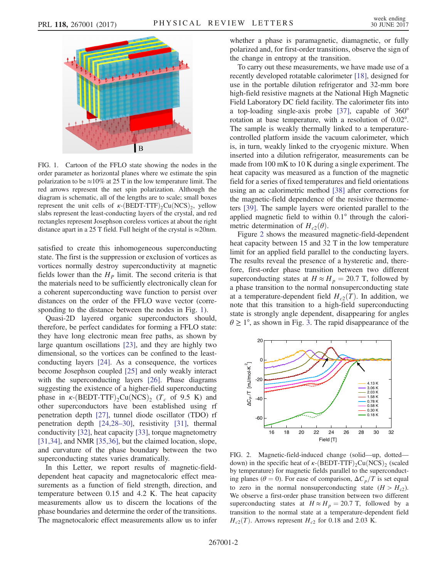<span id="page-1-0"></span>

FIG. 1. Cartoon of the FFLO state showing the nodes in the order parameter as horizontal planes where we estimate the spin polarization to be  $\approx$ 10% at 25 T in the low temperature limit. The red arrows represent the net spin polarization. Although the diagram is schematic, all of the lengths are to scale; small boxes represent the unit cells of  $\kappa$ -(BEDT-TTF)<sub>2</sub>Cu(NCS)<sub>2</sub>, yellow slabs represent the least-conducting layers of the crystal, and red rectangles represent Josephson coreless vortices at about the right distance apart in a 25 T field. Full height of the crystal is  $\approx$ 20nm.

satisfied to create this inhomogeneous superconducting state. The first is the suppression or exclusion of vortices as vortices normally destroy superconductivity at magnetic fields lower than the  $H<sub>p</sub>$  limit. The second criteria is that the materials need to be sufficiently electronically clean for a coherent superconducting wave function to persist over distances on the order of the FFLO wave vector (corresponding to the distance between the nodes in Fig. [1](#page-1-0)).

Quasi-2D layered organic superconductors should, therefore, be perfect candidates for forming a FFLO state: they have long electronic mean free paths, as shown by large quantum oscillations [\[23\],](#page-4-11) and they are highly two dimensional, so the vortices can be confined to the leastconducting layers [\[24\].](#page-4-12) As a consequence, the vortices become Josephson coupled [\[25\]](#page-4-13) and only weakly interact with the superconducting layers [\[26\]](#page-4-14). Phase diagrams suggesting the existence of a higher-field superconducting phase in  $\kappa$ -(BEDT-TTF)<sub>2</sub>Cu(NCS)<sub>2</sub> (T<sub>c</sub> of 9.5 K) and other superconductors have been established using rf penetration depth [\[27\]](#page-4-15), tunnel diode oscillator (TDO) rf penetration depth [\[24,28](#page-4-12)–30], resistivity [\[31\],](#page-4-16) thermal conductivity [\[32\],](#page-4-17) heat capacity [\[33\],](#page-4-18) torque magnetometry [\[31,34\]](#page-4-16), and NMR [\[35,36\]](#page-4-19), but the claimed location, slope, and curvature of the phase boundary between the two superconducting states varies dramatically.

In this Letter, we report results of magnetic-fielddependent heat capacity and magnetocaloric effect measurements as a function of field strength, direction, and temperature between 0.15 and 4.2 K. The heat capacity measurements allow us to discern the locations of the phase boundaries and determine the order of the transitions. The magnetocaloric effect measurements allow us to infer whether a phase is paramagnetic, diamagnetic, or fully polarized and, for first-order transitions, observe the sign of the change in entropy at the transition.

To carry out these measurements, we have made use of a recently developed rotatable calorimeter [\[18\],](#page-4-20) designed for use in the portable dilution refrigerator and 32-mm bore high-field resistive magnets at the National High Magnetic Field Laboratory DC field facility. The calorimeter fits into a top-loading single-axis probe [\[37\],](#page-4-21) capable of 360° rotation at base temperature, with a resolution of 0.02°. The sample is weakly thermally linked to a temperaturecontrolled platform inside the vacuum calorimeter, which is, in turn, weakly linked to the cryogenic mixture. When inserted into a dilution refrigerator, measurements can be made from 100 mK to 10 K during a single experiment. The heat capacity was measured as a function of the magnetic field for a series of fixed temperatures and field orientations using an ac calorimetric method [\[38\]](#page-4-22) after corrections for the magnetic-field dependence of the resistive thermometers [\[39\].](#page-4-23) The sample layers were oriented parallel to the applied magnetic field to within 0.1° through the calorimetric determination of  $H_{c2}(\theta)$ .

Figure [2](#page-1-1) shows the measured magnetic-field-dependent heat capacity between 15 and 32 T in the low temperature limit for an applied field parallel to the conducting layers. The results reveal the presence of a hysteretic and, therefore, first-order phase transition between two different superconducting states at  $H \approx H_p = 20.7$  T, followed by a phase transition to the normal nonsuperconducting state at a temperature-dependent field  $H_{c2}(T)$ . In addition, we note that this transition to a high-field superconducting state is strongly angle dependent, disappearing for angles  $\theta \geq 1^{\circ}$ , as shown in Fig. [3.](#page-2-0) The rapid disappearance of the

<span id="page-1-1"></span>

FIG. 2. Magnetic-field-induced change (solid—up, dotted down) in the specific heat of  $\kappa$ -(BEDT-TTF)<sub>2</sub>Cu(NCS)<sub>2</sub> (scaled by temperature) for magnetic fields parallel to the superconducting planes ( $\theta = 0$ ). For ease of comparison,  $\Delta C_p/T$  is set equal to zero in the normal nonsuperconducting state  $(H > H<sub>c2</sub>)$ . We observe a first-order phase transition between two different superconducting states at  $H \approx H_p = 20.7$  T, followed by a transition to the normal state at a temperature-dependent field  $H_{c2}(T)$ . Arrows represent  $H_{c2}$  for 0.18 and 2.03 K.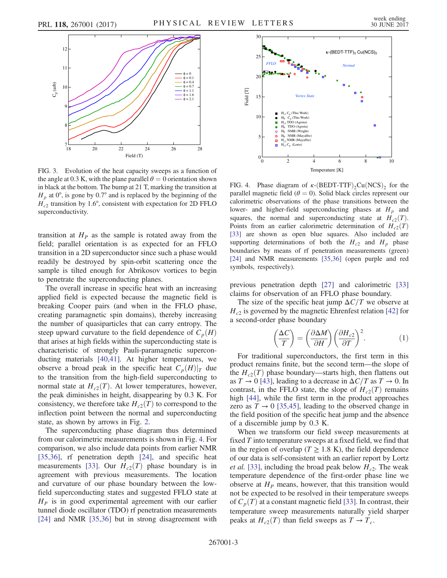<span id="page-2-0"></span>

FIG. 3. Evolution of the heat capacity sweeps as a function of the angle at 0.3 K, with the plane parallel  $\theta = 0$  orientation shown in black at the bottom. The bump at 21 T, marking the transition at  $H_p$  at 0°, is gone by 0.7° and is replaced by the beginning of the  $H_{c2}$  transition by 1.6°, consistent with expectation for 2D FFLO superconductivity.

transition at  $H<sub>P</sub>$  as the sample is rotated away from the field; parallel orientation is as expected for an FFLO transition in a 2D superconductor since such a phase would readily be destroyed by spin-orbit scattering once the sample is tilted enough for Abrikosov vortices to begin to penetrate the superconducting planes.

The overall increase in specific heat with an increasing applied field is expected because the magnetic field is breaking Cooper pairs (and when in the FFLO phase, creating paramagnetic spin domains), thereby increasing the number of quasiparticles that can carry entropy. The steep upward curvature to the field dependence of  $C_p(H)$ that arises at high fields within the superconducting state is characteristic of strongly Pauli-paramagnetic superconducting materials [\[40,41\]](#page-4-24). At higher temperatures, we observe a broad peak in the specific heat  $C_p(H)|_T$  due to the transition from the high-field superconducting to normal state at  $H_{c2}(T)$ . At lower temperatures, however, the peak diminishes in height, disappearing by 0.3 K. For consistency, we therefore take  $H_{c2}(T)$  to correspond to the inflection point between the normal and superconducting state, as shown by arrows in Fig. [2](#page-1-1).

The superconducting phase diagram thus determined from our calorimetric measurements is shown in Fig. [4.](#page-2-1) For comparison, we also include data points from earlier NMR [\[35,36\]](#page-4-19), rf penetration depth [\[24\]](#page-4-12), and specific heat measurements [\[33\]](#page-4-18). Our  $H_{c2}(T)$  phase boundary is in agreement with previous measurements. The location and curvature of our phase boundary between the lowfield superconducting states and suggested FFLO state at  $H<sub>P</sub>$  is in good experimental agreement with our earlier tunnel diode oscillator (TDO) rf penetration measurements [\[24\]](#page-4-12) and NMR [\[35,36\]](#page-4-19) but in strong disagreement with

<span id="page-2-1"></span>

FIG. 4. Phase diagram of  $\kappa$ -(BEDT-TTF)<sub>2</sub>Cu(NCS)<sub>2</sub> for the parallel magnetic field ( $\theta = 0$ ). Solid black circles represent our calorimetric observations of the phase transitions between the lower- and higher-field superconducting phases at  $H<sub>p</sub>$  and squares, the normal and superconducting state at  $H_{c2}(T)$ . Points from an earlier calorimetric determination of  $H_{c2}(T)$ [\[33\]](#page-4-18) are shown as open blue squares. Also included are supporting determinations of both the  $H_{c2}$  and  $H_p$  phase boundaries by means of rf penetration measurements (green) [\[24\]](#page-4-12) and NMR measurements [\[35,36\]](#page-4-19) (open purple and red symbols, respectively).

previous penetration depth [\[27\]](#page-4-15) and calorimetric [\[33\]](#page-4-18) claims for observation of an FFLO phase boundary.

The size of the specific heat jump  $\Delta C/T$  we observe at  $H_{c2}$  is governed by the magnetic Ehrenfest relation [\[42\]](#page-4-25) for a second-order phase boundary

$$
\left(\frac{\Delta C}{T}\right) = \left(\frac{\partial \Delta M}{\partial H}\right) \left(\frac{\partial H_{c2}}{\partial T}\right)^2.
$$
 (1)

For traditional superconductors, the first term in this product remains finite, but the second term—the slope of the  $H_{c2}(T)$  phase boundary—starts high, then flattens out as  $T \to 0$  [\[43\]](#page-4-26), leading to a decrease in  $\Delta C/T$  as  $T \to 0$ . In contrast, in the FFLO state, the slope of  $H_{c2}(T)$  remains high [\[44\],](#page-4-27) while the first term in the product approaches zero as  $T \rightarrow 0$  [\[35,45\],](#page-4-19) leading to the observed change in the field position of the specific heat jump and the absence of a discernible jump by 0.3 K.

When we transform our field sweep measurements at fixed T into temperature sweeps at a fixed field, we find that in the region of overlap ( $T \geq 1.8$  K), the field dependence of our data is self-consistent with an earlier report by Lortz *et al.* [\[33\]](#page-4-18), including the broad peak below  $H_{c2}$ . The weak temperature dependence of the first-order phase line we observe at  $H<sub>P</sub>$  means, however, that this transition would not be expected to be resolved in their temperature sweeps of  $C_p(T)$  at a constant magnetic field [\[33\].](#page-4-18) In contrast, their temperature sweep measurements naturally yield sharper peaks at  $H_{c2}(T)$  than field sweeps as  $T \to T_c$ .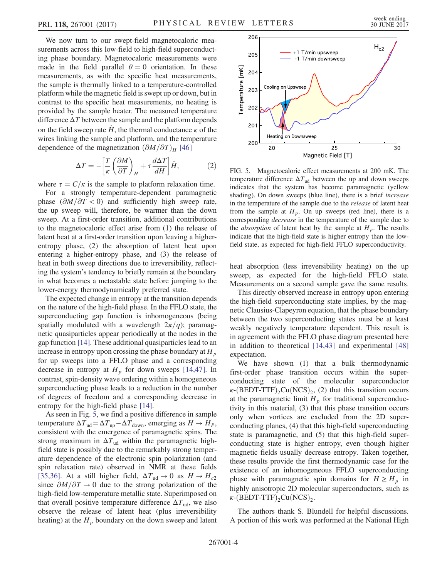We now turn to our swept-field magnetocaloric measurements across this low-field to high-field superconducting phase boundary. Magnetocaloric measurements were made in the field parallel  $\theta = 0$  orientation. In these measurements, as with the specific heat measurements, the sample is thermally linked to a temperature-controlled platform while the magnetic field is swept up or down, but in contrast to the specific heat measurements, no heating is provided by the sample heater. The measured temperature difference  $\Delta T$  between the sample and the platform depends on the field sweep rate  $\dot{H}$ , the thermal conductance  $\kappa$  of the wires linking the sample and platform, and the temperature dependence of the magnetization  $(\partial M/\partial T)_H$  [\[46\]](#page-4-28)

$$
\Delta T = -\left[\frac{T}{\kappa} \left(\frac{\partial M}{\partial T}\right)_H + \tau \frac{d\Delta T}{dH}\right] \dot{H},\tag{2}
$$

where  $\tau = C/\kappa$  is the sample to platform relaxation time.

For a strongly temperature-dependent paramagnetic phase  $(\partial M/\partial T < 0)$  and sufficiently high sweep rate, the up sweep will, therefore, be warmer than the down sweep. At a first-order transition, additional contributions to the magnetocaloric effect arise from (1) the release of latent heat at a first-order transition upon leaving a higherentropy phase, (2) the absorption of latent heat upon entering a higher-entropy phase, and (3) the release of heat in both sweep directions due to irreversibility, reflecting the system's tendency to briefly remain at the boundary in what becomes a metastable state before jumping to the lower-energy thermodynamically preferred state.

The expected change in entropy at the transition depends on the nature of the high-field phase. In the FFLO state, the superconducting gap function is inhomogeneous (being spatially modulated with a wavelength  $2\pi/q$ ; paramagnetic quasiparticles appear periodically at the nodes in the gap function [\[14\]](#page-4-9). These additional quasiparticles lead to an increase in entropy upon crossing the phase boundary at  $H_p$ for up sweeps into a FFLO phase and a corresponding decrease in entropy at  $H_p$  for down sweeps [\[14,47\]](#page-4-9). In contrast, spin-density wave ordering within a homogeneous superconducting phase leads to a reduction in the number of degrees of freedom and a corresponding decrease in entropy for the high-field phase [\[14\]](#page-4-9).

As seen in Fig. [5](#page-3-0), we find a positive difference in sample temperature  $\Delta T_{ud} = \Delta T_{up} - \Delta T_{down}$ , emerging as  $H \rightarrow H_P$ , consistent with the emergence of paramagnetic spins. The strong maximum in  $\Delta T_{ud}$  within the paramagnetic highfield state is possibly due to the remarkably strong temperature dependence of the electronic spin polarization (and spin relaxation rate) observed in NMR at these fields [\[35,36\]](#page-4-19). At a still higher field,  $\Delta T_{ud} \rightarrow 0$  as  $H \rightarrow H_{c2}$ since  $\partial M/\partial T \to 0$  due to the strong polarization of the high-field low-temperature metallic state. Superimposed on that overall positive temperature difference  $\Delta T_{ud}$ , we also observe the release of latent heat (plus irreversibility heating) at the  $H_p$  boundary on the down sweep and latent

<span id="page-3-0"></span>

FIG. 5. Magnetocaloric effect measurements at 200 mK. The temperature difference  $\Delta T_{ud}$  between the up and down sweeps indicates that the system has become paramagnetic (yellow shading). On down sweeps (blue line), there is a brief increase in the temperature of the sample due to the release of latent heat from the sample at  $H_p$ . On up sweeps (red line), there is a corresponding decrease in the temperature of the sample due to the *absorption* of latent heat by the sample at  $H_p$ . The results indicate that the high-field state is higher entropy than the lowfield state, as expected for high-field FFLO superconductivity.

heat absorption (less irreversibility heating) on the up sweep, as expected for the high-field FFLO state. Measurements on a second sample gave the same results.

This directly observed increase in entropy upon entering the high-field superconducting state implies, by the magnetic Clausius-Clapeyron equation, that the phase boundary between the two superconducting states must be at least weakly negatively temperature dependent. This result is in agreement with the FFLO phase diagram presented here in addition to theoretical [\[14,43\]](#page-4-9) and experimental [\[48\]](#page-4-29) expectation.

We have shown (1) that a bulk thermodynamic first-order phase transition occurs within the superconducting state of the molecular superconductor  $\kappa$ -(BEDT-TTF)<sub>2</sub>Cu(NCS)<sub>2</sub>, (2) that this transition occurs at the paramagnetic limit  $H_p$  for traditional superconductivity in this material, (3) that this phase transition occurs only when vortices are excluded from the 2D superconducting planes, (4) that this high-field superconducting state is paramagnetic, and (5) that this high-field superconducting state is higher entropy, even though higher magnetic fields usually decrease entropy. Taken together, these results provide the first thermodynamic case for the existence of an inhomogeneous FFLO superconducting phase with paramagnetic spin domains for  $H \ge H_p$  in highly anisotropic 2D molecular superconductors, such as  $\kappa$ -(BEDT-TTF)<sub>2</sub>Cu(NCS)<sub>2</sub>.

The authors thank S. Blundell for helpful discussions. A portion of this work was performed at the National High